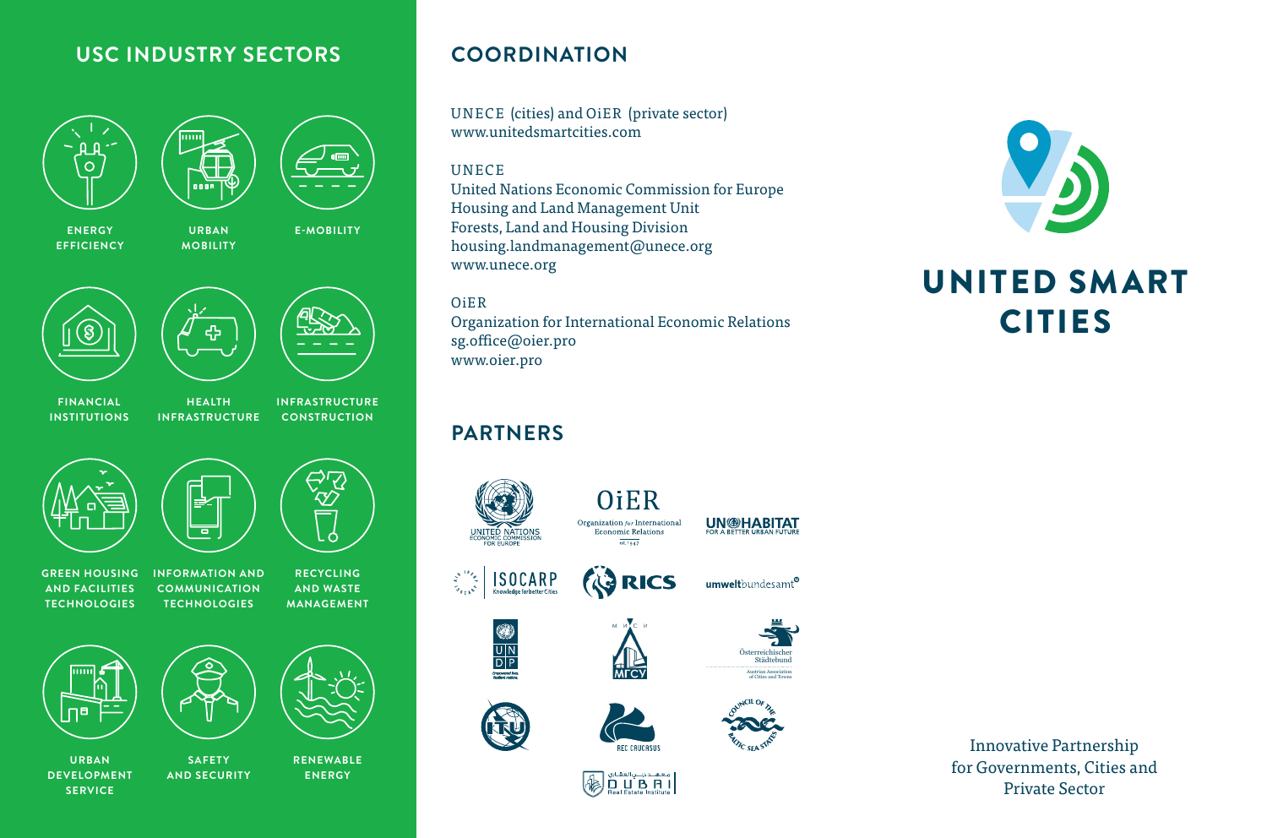#### **USC INDUSTRY SECTORS**

**URBAN MOBILITY**

nni

# $\overline{O}$



**ENERGY EFFICIENCY** **E-MOBILITY**







**FINANCIAL INSTITUTIONS**

**HEALTH INFRASTRUCTURE INFRASTRUCTURE CONSTRUCTION**



**GREEN HOUSING AND FACILITIES TECHNOLOGIES**

**INFORMATION AND COMMUNICATION TECHNOLOGIES RECYCLING** 

**AND WASTE MANAGEMENT**



**URBAN DEVELOPMENT SERVICE**

**RENEWABLE ENERGY AND SECURITY**

**SAFETY** 

### **COORDINATION**

UNECE (cities) and OiER (private sector) www.unitedsmartcities.com

#### UNECE

United Nations Economic Commission for Europe Housing and Land Management Unit Forests, Land and Housing Division housing.landmanagement@unece.org www.unece.org

OiER

Organization for International Economic Relations sg.office@oier.pro www.oier.pro

## **PARTNERS**



معهلد دينبي العقباري  $\ast$  $\overline{\mathbf{D}}_{\text{Real Existation}}$ 



## UNITED SMART CITIES

Innovative Partnership for Governments, Cities and Private Sector